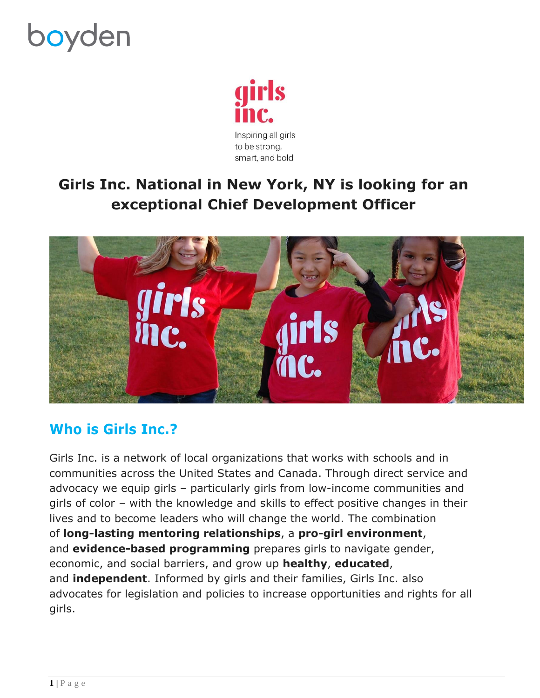# **boyden**



## **Girls Inc. National in New York, NY is looking for an exceptional Chief Development Officer**



### **Who is Girls Inc.?**

Girls Inc. is a network of local organizations that works with schools and in communities across the United States and Canada. Through direct service and advocacy we equip girls – particularly girls from low-income communities and girls of color – with the knowledge and skills to effect positive changes in their lives and to become leaders who will change the world. The combination of **long-lasting mentoring relationships**, a **pro-girl environment**, and **evidence-based programming** prepares girls to navigate gender, economic, and social barriers, and grow up **healthy**, **educated**, and **independent**. Informed by girls and their families, Girls Inc. also advocates for legislation and policies to increase opportunities and rights for all girls.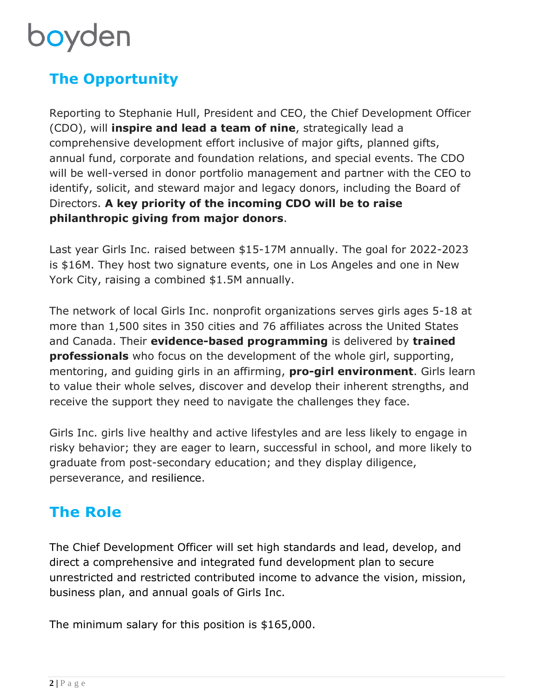# boyden

## **The Opportunity**

Reporting to Stephanie Hull, President and CEO, the Chief Development Officer (CDO), will **inspire and lead a team of nine**, strategically lead a comprehensive development effort inclusive of major gifts, planned gifts, annual fund, corporate and foundation relations, and special events. The CDO will be well-versed in donor portfolio management and partner with the CEO to identify, solicit, and steward major and legacy donors, including the Board of Directors. **A key priority of the incoming CDO will be to raise philanthropic giving from major donors**.

Last year Girls Inc. raised between \$15-17M annually. The goal for 2022-2023 is \$16M. They host two signature events, one in Los Angeles and one in New York City, raising a combined \$1.5M annually.

The network of local Girls Inc. nonprofit organizations serves girls ages 5-18 at more than 1,500 sites in 350 cities and 76 affiliates across the United States and Canada. Their **evidence-based programming** is delivered by **trained professionals** who focus on the development of the whole girl, supporting, mentoring, and guiding girls in an affirming, **pro-girl environment**. Girls learn to value their whole selves, discover and develop their inherent strengths, and receive the support they need to navigate the challenges they face.

Girls Inc. girls live healthy and active lifestyles and are less likely to engage in risky behavior; they are eager to learn, successful in school, and more likely to graduate from post-secondary education; and they display diligence, perseverance, and resilience.

### **The Role**

The Chief Development Officer will set high standards and lead, develop, and direct a comprehensive and integrated fund development plan to secure unrestricted and restricted contributed income to advance the vision, mission, business plan, and annual goals of Girls Inc.

The minimum salary for this position is \$165,000.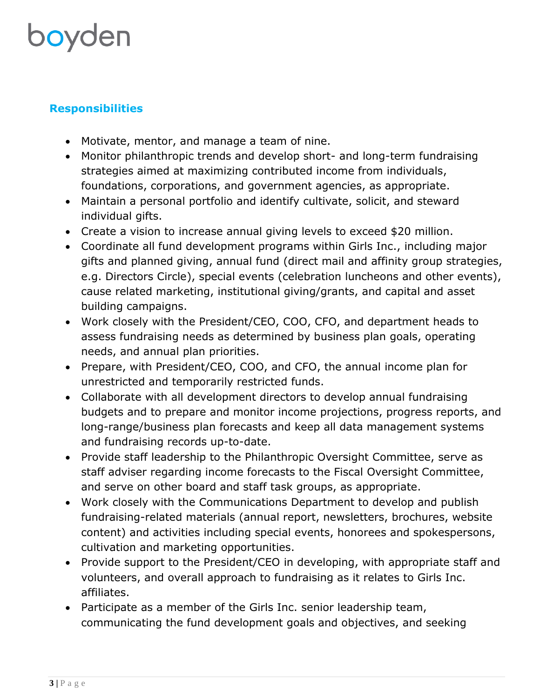## boyden

#### **Responsibilities**

- Motivate, mentor, and manage a team of nine.
- Monitor philanthropic trends and develop short- and long-term fundraising strategies aimed at maximizing contributed income from individuals, foundations, corporations, and government agencies, as appropriate.
- Maintain a personal portfolio and identify cultivate, solicit, and steward individual gifts.
- Create a vision to increase annual giving levels to exceed \$20 million.
- Coordinate all fund development programs within Girls Inc., including major gifts and planned giving, annual fund (direct mail and affinity group strategies, e.g. Directors Circle), special events (celebration luncheons and other events), cause related marketing, institutional giving/grants, and capital and asset building campaigns.
- Work closely with the President/CEO, COO, CFO, and department heads to assess fundraising needs as determined by business plan goals, operating needs, and annual plan priorities.
- Prepare, with President/CEO, COO, and CFO, the annual income plan for unrestricted and temporarily restricted funds.
- Collaborate with all development directors to develop annual fundraising budgets and to prepare and monitor income projections, progress reports, and long-range/business plan forecasts and keep all data management systems and fundraising records up-to-date.
- Provide staff leadership to the Philanthropic Oversight Committee, serve as staff adviser regarding income forecasts to the Fiscal Oversight Committee, and serve on other board and staff task groups, as appropriate.
- Work closely with the Communications Department to develop and publish fundraising-related materials (annual report, newsletters, brochures, website content) and activities including special events, honorees and spokespersons, cultivation and marketing opportunities.
- Provide support to the President/CEO in developing, with appropriate staff and volunteers, and overall approach to fundraising as it relates to Girls Inc. affiliates.
- Participate as a member of the Girls Inc. senior leadership team, communicating the fund development goals and objectives, and seeking